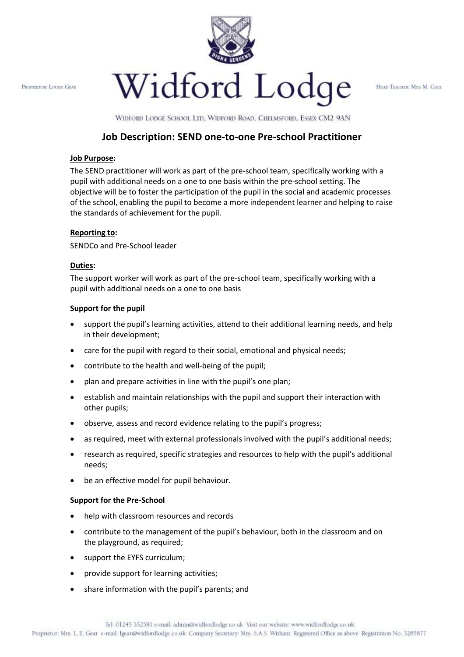PROPRETOR: LOUIST GEAR



HEAD TEACHER: MESS M. COLE:

WIDFORD LODGE SCHOOL LTD, WIDFORD ROAD, CHELMSFORD, ESSEX CM2 9AN

# **Job Description: SEND one-to-one Pre-school Practitioner**

#### **Job Purpose:**

The SEND practitioner will work as part of the pre-school team, specifically working with a pupil with additional needs on a one to one basis within the pre-school setting. The objective will be to foster the participation of the pupil in the social and academic processes of the school, enabling the pupil to become a more independent learner and helping to raise the standards of achievement for the pupil.

#### **Reporting to:**

SENDCo and Pre-School leader

#### **Duties:**

The support worker will work as part of the pre-school team, specifically working with a pupil with additional needs on a one to one basis

## **Support for the pupil**

- support the pupil's learning activities, attend to their additional learning needs, and help in their development;
- care for the pupil with regard to their social, emotional and physical needs;
- contribute to the health and well-being of the pupil;
- plan and prepare activities in line with the pupil's one plan;
- establish and maintain relationships with the pupil and support their interaction with other pupils;
- observe, assess and record evidence relating to the pupil's progress;
- as required, meet with external professionals involved with the pupil's additional needs;
- research as required, specific strategies and resources to help with the pupil's additional needs;
- be an effective model for pupil behaviour.

#### **Support for the Pre-School**

- help with classroom resources and records
- contribute to the management of the pupil's behaviour, both in the classroom and on the playground, as required;
- support the EYFS curriculum;
- provide support for learning activities;
- share information with the pupil's parents; and